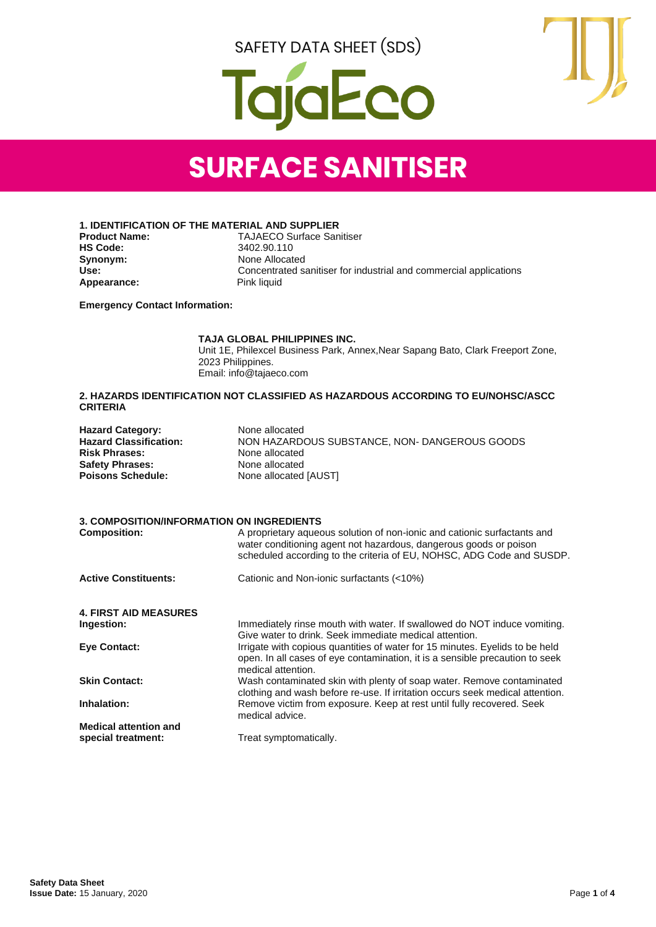SAFETY DATA SHEET (SDS)





## **SURFACE SANITISER**

**1. IDENTIFICATION OF THE MATERIAL AND SUPPLIER**

**Synonym:** None Allocated<br>
Use: Concentrated s Appearance:

**Product Name:** TAJAECO Surface Sanitiser<br> **HS Code:** 3402.90.110 **HS Code:** 3402.90.110 **Use:** Concentrated sanitiser for industrial and commercial applications

**Emergency Contact Information:**

#### **TAJA GLOBAL PHILIPPINES INC.**

Unit 1E, Philexcel Business Park, Annex,Near Sapang Bato, Clark Freeport Zone, 2023 Philippines. Email: info@tajaeco.com

#### **2. HAZARDS IDENTIFICATION NOT CLASSIFIED AS HAZARDOUS ACCORDING TO EU/NOHSC/ASCC CRITERIA**

| <b>Hazard Category:</b><br><b>Hazard Classification:</b><br><b>Risk Phrases:</b><br><b>Safety Phrases:</b><br><b>Poisons Schedule:</b> | None allocated<br>NON HAZARDOUS SUBSTANCE, NON- DANGEROUS GOODS<br>None allocated<br>None allocated<br>None allocated [AUST]                                                                                           |
|----------------------------------------------------------------------------------------------------------------------------------------|------------------------------------------------------------------------------------------------------------------------------------------------------------------------------------------------------------------------|
| <b>3. COMPOSITION/INFORMATION ON INGREDIENTS</b>                                                                                       |                                                                                                                                                                                                                        |
| <b>Composition:</b>                                                                                                                    | A proprietary aqueous solution of non-ionic and cationic surfactants and<br>water conditioning agent not hazardous, dangerous goods or poison<br>scheduled according to the criteria of EU, NOHSC, ADG Code and SUSDP. |
| <b>Active Constituents:</b>                                                                                                            | Cationic and Non-ionic surfactants (<10%)                                                                                                                                                                              |
| <b>4. FIRST AID MEASURES</b>                                                                                                           |                                                                                                                                                                                                                        |
| Ingestion:                                                                                                                             | Immediately rinse mouth with water. If swallowed do NOT induce vomiting.<br>Give water to drink. Seek immediate medical attention.                                                                                     |
| <b>Eye Contact:</b>                                                                                                                    | Irrigate with copious quantities of water for 15 minutes. Eyelids to be held<br>open. In all cases of eye contamination, it is a sensible precaution to seek<br>medical attention.                                     |
| <b>Skin Contact:</b>                                                                                                                   | Wash contaminated skin with plenty of soap water. Remove contaminated<br>clothing and wash before re-use. If irritation occurs seek medical attention.                                                                 |
| Inhalation:                                                                                                                            | Remove victim from exposure. Keep at rest until fully recovered. Seek<br>medical advice.                                                                                                                               |
| <b>Medical attention and</b>                                                                                                           |                                                                                                                                                                                                                        |
| special treatment:                                                                                                                     | Treat symptomatically.                                                                                                                                                                                                 |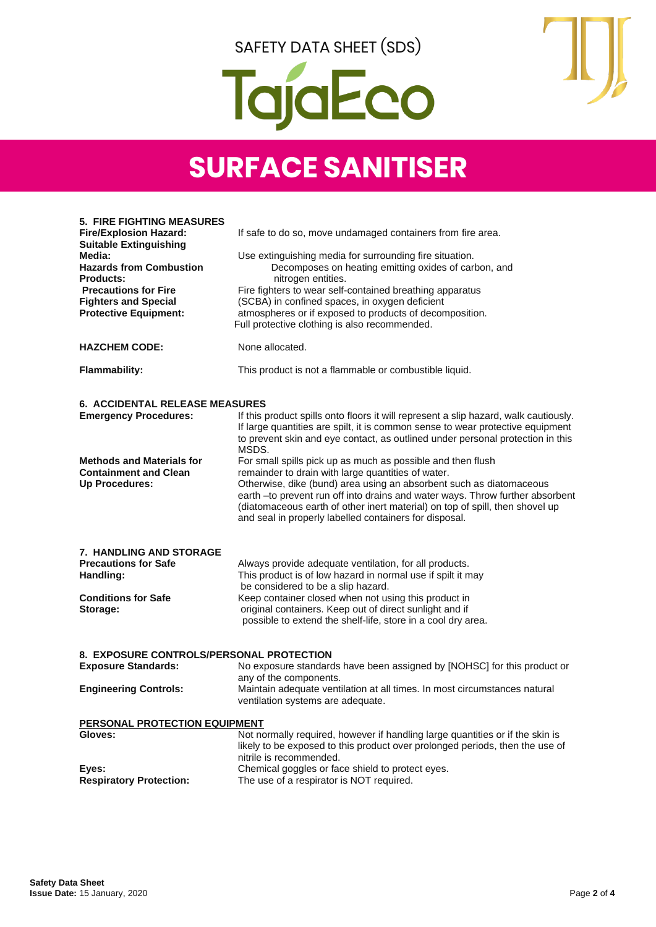



## **SURFACE SANITISER**

| <b>5. FIRE FIGHTING MEASURES</b>                               |                                                                                                                                                                  |
|----------------------------------------------------------------|------------------------------------------------------------------------------------------------------------------------------------------------------------------|
| <b>Fire/Explosion Hazard:</b><br><b>Suitable Extinguishing</b> | If safe to do so, move undamaged containers from fire area.                                                                                                      |
| Media:                                                         | Use extinguishing media for surrounding fire situation.                                                                                                          |
| <b>Hazards from Combustion</b>                                 | Decomposes on heating emitting oxides of carbon, and                                                                                                             |
| <b>Products:</b><br><b>Precautions for Fire</b>                | nitrogen entities.                                                                                                                                               |
| <b>Fighters and Special</b>                                    | Fire fighters to wear self-contained breathing apparatus<br>(SCBA) in confined spaces, in oxygen deficient                                                       |
| <b>Protective Equipment:</b>                                   | atmospheres or if exposed to products of decomposition.                                                                                                          |
|                                                                | Full protective clothing is also recommended.                                                                                                                    |
| <b>HAZCHEM CODE:</b>                                           | None allocated.                                                                                                                                                  |
| <b>Flammability:</b>                                           | This product is not a flammable or combustible liquid.                                                                                                           |
| <b>6. ACCIDENTAL RELEASE MEASURES</b>                          |                                                                                                                                                                  |
| <b>Emergency Procedures:</b>                                   | If this product spills onto floors it will represent a slip hazard, walk cautiously.                                                                             |
|                                                                | If large quantities are spilt, it is common sense to wear protective equipment<br>to prevent skin and eye contact, as outlined under personal protection in this |
|                                                                | MSDS.                                                                                                                                                            |
| <b>Methods and Materials for</b>                               | For small spills pick up as much as possible and then flush                                                                                                      |
| <b>Containment and Clean</b>                                   | remainder to drain with large quantities of water.                                                                                                               |
| <b>Up Procedures:</b>                                          | Otherwise, dike (bund) area using an absorbent such as diatomaceous<br>earth -to prevent run off into drains and water ways. Throw further absorbent             |
|                                                                | (diatomaceous earth of other inert material) on top of spill, then shovel up                                                                                     |
|                                                                | and seal in properly labelled containers for disposal.                                                                                                           |
|                                                                |                                                                                                                                                                  |
| <b>7. HANDLING AND STORAGE</b>                                 |                                                                                                                                                                  |
| <b>Precautions for Safe</b><br>Handling:                       | Always provide adequate ventilation, for all products.<br>This product is of low hazard in normal use if spilt it may                                            |
|                                                                | be considered to be a slip hazard.                                                                                                                               |
| <b>Conditions for Safe</b>                                     | Keep container closed when not using this product in                                                                                                             |
| Storage:                                                       | original containers. Keep out of direct sunlight and if                                                                                                          |
|                                                                | possible to extend the shelf-life, store in a cool dry area.                                                                                                     |
| 8. EXPOSURE CONTROLS/PERSONAL PROTECTION                       |                                                                                                                                                                  |
| <b>Exposure Standards:</b>                                     | No exposure standards have been assigned by [NOHSC] for this product or                                                                                          |
|                                                                | any of the components.                                                                                                                                           |
| <b>Engineering Controls:</b>                                   | Maintain adequate ventilation at all times. In most circumstances natural                                                                                        |
|                                                                | ventilation systems are adequate.                                                                                                                                |
| PERSONAL PROTECTION EQUIPMENT                                  |                                                                                                                                                                  |
| Gloves:                                                        | Not normally required, however if handling large quantities or if the skin is                                                                                    |
|                                                                | likely to be exposed to this product over prolonged periods, then the use of<br>nitrile is recommended.                                                          |
| Eyes:                                                          | Chemical goggles or face shield to protect eyes.                                                                                                                 |
| <b>Respiratory Protection:</b>                                 | The use of a respirator is NOT required.                                                                                                                         |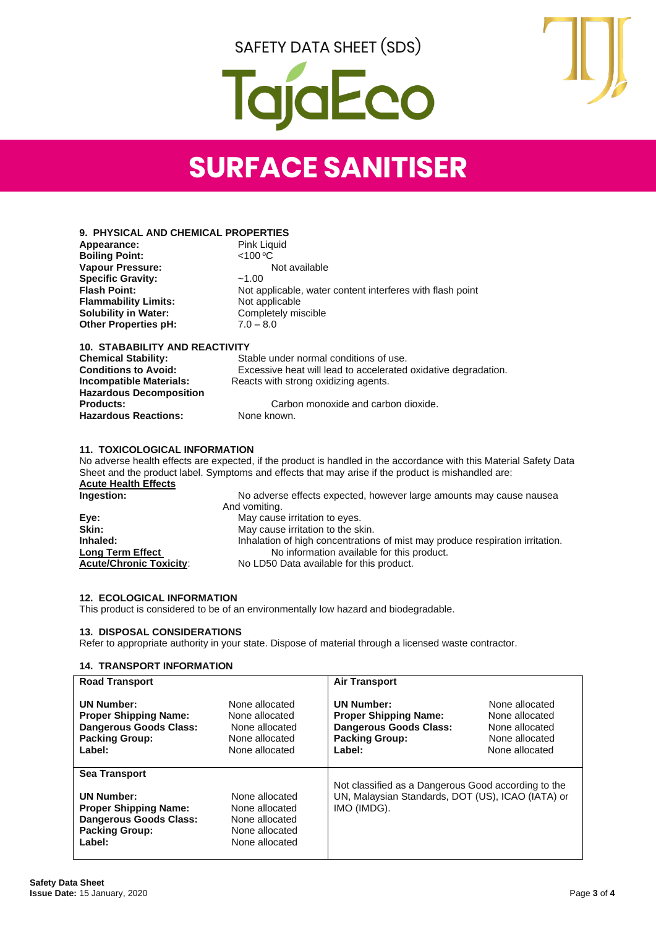SAFETY DATA SHEET (SDS)

# jaEco



## **SURFACE SANITISER**

| <b>9. PHYSICAL AND CHEMICAL PROPERTIES</b> |             |
|--------------------------------------------|-------------|
| Annoarance:                                | Dink Liquid |

| Appearance:                 | Pink Liquid                                               |
|-----------------------------|-----------------------------------------------------------|
| <b>Boiling Point:</b>       | $<$ 100 °C                                                |
| <b>Vapour Pressure:</b>     | Not available                                             |
| <b>Specific Gravity:</b>    | ~1.00                                                     |
| <b>Flash Point:</b>         | Not applicable, water content interferes with flash point |
| <b>Flammability Limits:</b> | Not applicable                                            |
| <b>Solubility in Water:</b> | Completely miscible                                       |
| <b>Other Properties pH:</b> | $7.0 - 8.0$                                               |
|                             |                                                           |

## **10. STABABILITY AND REACTIVITY**

| <b>Chemical Stability:</b>     | Stable under normal conditions of use.                         |
|--------------------------------|----------------------------------------------------------------|
| <b>Conditions to Avoid:</b>    | Excessive heat will lead to accelerated oxidative degradation. |
| Incompatible Materials:        | Reacts with strong oxidizing agents.                           |
| <b>Hazardous Decomposition</b> |                                                                |
| <b>Products:</b>               | Carbon monoxide and carbon dioxide.                            |
| <b>Hazardous Reactions:</b>    | None known.                                                    |

#### **11. TOXICOLOGICAL INFORMATION**

No adverse health effects are expected, if the product is handled in the accordance with this Material Safety Data Sheet and the product label. Symptoms and effects that may arise if the product is mishandled are: **Acute Health Effects Ingestion:** No adverse effects expected, however large amounts may cause nausea And vomiting. **Eye:** May cause irritation to eyes.<br> **Skin:** May cause irritation to the skin **Skin:** May cause irritation to the skin. Inhaled: Inhalation of high concentrations of mist may produce respiration irritation. **Long Term Effect No information available for this product.**<br> **Acute/Chronic Toxicity:** No LD50 Data available for this product.

No LD50 Data available for this product.

### **12. ECOLOGICAL INFORMATION**

This product is considered to be of an environmentally low hazard and biodegradable.

#### **13. DISPOSAL CONSIDERATIONS**

Refer to appropriate authority in your state. Dispose of material through a licensed waste contractor.

#### **14. TRANSPORT INFORMATION**

| <b>Road Transport</b>                                                                                                 |                                                                                        | <b>Air Transport</b>                                                                                                    |                                                                                        |
|-----------------------------------------------------------------------------------------------------------------------|----------------------------------------------------------------------------------------|-------------------------------------------------------------------------------------------------------------------------|----------------------------------------------------------------------------------------|
| <b>UN Number:</b><br><b>Proper Shipping Name:</b><br><b>Dangerous Goods Class:</b><br><b>Packing Group:</b><br>Label: | None allocated<br>None allocated<br>None allocated<br>None allocated<br>None allocated | <b>UN Number:</b><br><b>Proper Shipping Name:</b><br><b>Dangerous Goods Class:</b><br><b>Packing Group:</b><br>Label:   | None allocated<br>None allocated<br>None allocated<br>None allocated<br>None allocated |
| <b>Sea Transport</b><br><b>UN Number:</b><br><b>Proper Shipping Name:</b>                                             | None allocated<br>None allocated                                                       | Not classified as a Dangerous Good according to the<br>UN, Malaysian Standards, DOT (US), ICAO (IATA) or<br>IMO (IMDG). |                                                                                        |
| <b>Dangerous Goods Class:</b><br><b>Packing Group:</b><br>Label:                                                      | None allocated<br>None allocated<br>None allocated                                     |                                                                                                                         |                                                                                        |